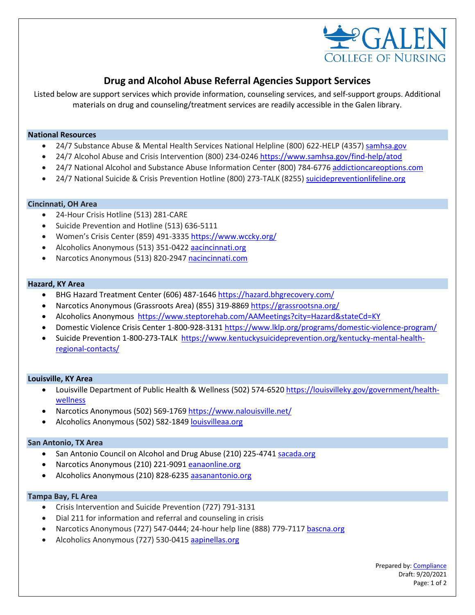

# **Drug and Alcohol Abuse Referral Agencies Support Services**

Listed below are support services which provide information, counseling services, and self-support groups. Additional materials on drug and counseling/treatment services are readily accessible in the Galen library.

## **National Resources**

- 24/7 Substance Abuse & Mental Health Services National Helpline (800) 622-HELP (4357[\) samhsa.gov](http://www.samhsa.gov/)
- 24/7 Alcohol Abuse and Crisis Intervention (800) 234-0246 <https://www.samhsa.gov/find-help/atod>
- 24/7 National Alcohol and Substance Abuse Information Center (800) 784-6776 [addictioncareoptions.com](http://www.addictioncareoptions.com/)
- 24/7 National Suicide & Crisis Prevention Hotline (800) 273-TALK (8255) [suicidepreventionlifeline.org](http://www.suicidepreventionlifeline.org/)

## **Cincinnati, OH Area**

- 24-Hour Crisis Hotline (513) 281-CARE
- Suicide Prevention and Hotline (513) 636-5111
- Women's Crisis Center (859) 491-3335 <https://www.wccky.org/>
- Alcoholics Anonymous (513) 351-0422 [aacincinnati.org](http://www.aacincinnati.org/)
- Narcotics Anonymous (513) 820-2947 [nacincinnati.com](http://www.nacincinnati.com/)

## **Hazard, KY Area**

- BHG Hazard Treatment Center (606) 487-1646<https://hazard.bhgrecovery.com/>
- Narcotics Anonymous (Grassroots Area) (855) 319-886[9 https://grassrootsna.org/](https://grassrootsna.org/)
- Alcoholics Anonymous <https://www.steptorehab.com/AAMeetings?city=Hazard&stateCd=KY>
- Domestic Violence Crisis Center 1-800-928-3131 <https://www.lklp.org/programs/domestic-violence-program/>
- Suicide Prevention 1-800-273-TALK [https://www.kentuckysuicideprevention.org/kentucky-mental-health](https://www.kentuckysuicideprevention.org/kentucky-mental-health-regional-contacts/)[regional-contacts/](https://www.kentuckysuicideprevention.org/kentucky-mental-health-regional-contacts/)

#### **Louisville, KY Area**

- Louisville Department of Public Health & Wellness (502) 574-6520 [https://louisvilleky.gov/government/health](https://louisvilleky.gov/government/health-wellness)[wellness](https://louisvilleky.gov/government/health-wellness)
- Narcotics Anonymous (502) 569-1769 <https://www.nalouisville.net/>
- Alcoholics Anonymous (502) 582-1849 [louisvilleaa.org](http://www.louisvilleaa.org/)

## **San Antonio, TX Area**

- San Antonio Council on Alcohol and Drug Abuse (210) 225-474[1 sacada.org](http://www.sacada.org/)
- Narcotics Anonymous (210) 221-9091 [eanaonline.org](http://www.eanaonline.org/)
- Alcoholics Anonymous (210) 828-6235 [aasanantonio.org](http://www.aasanantonio.org/)

## **Tampa Bay, FL Area**

- Crisis Intervention and Suicide Prevention (727) 791-3131
- Dial 211 for information and referral and counseling in crisis
- Narcotics Anonymous (727) 547-0444; 24-hour help line (888) 779-7117 [bascna.org](http://www.bascna.org/)
- Alcoholics Anonymous (727) 530-0415 [aapinellas.org](http://www.aapinellas.org/)